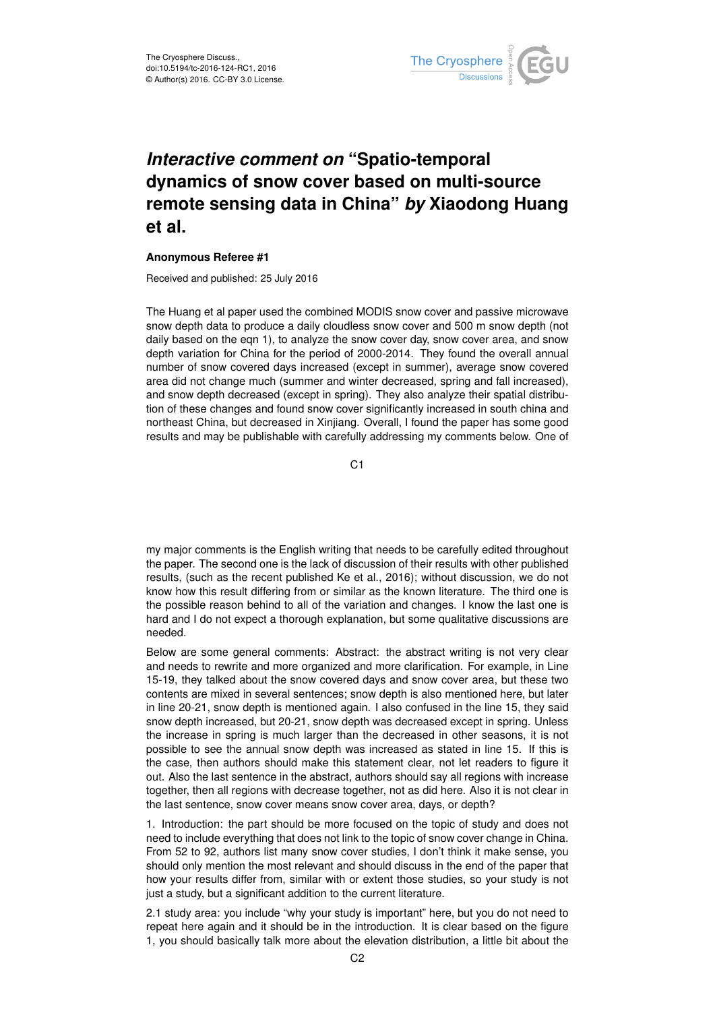

## *Interactive comment on* **"Spatio-temporal dynamics of snow cover based on multi-source remote sensing data in China"** *by* **Xiaodong Huang et al.**

## **Anonymous Referee #1**

Received and published: 25 July 2016

The Huang et al paper used the combined MODIS snow cover and passive microwave snow depth data to produce a daily cloudless snow cover and 500 m snow depth (not daily based on the eqn 1), to analyze the snow cover day, snow cover area, and snow depth variation for China for the period of 2000-2014. They found the overall annual number of snow covered days increased (except in summer), average snow covered area did not change much (summer and winter decreased, spring and fall increased), and snow depth decreased (except in spring). They also analyze their spatial distribution of these changes and found snow cover significantly increased in south china and northeast China, but decreased in Xinjiang. Overall, I found the paper has some good results and may be publishable with carefully addressing my comments below. One of

C<sub>1</sub>

my major comments is the English writing that needs to be carefully edited throughout the paper. The second one is the lack of discussion of their results with other published results, (such as the recent published Ke et al., 2016); without discussion, we do not know how this result differing from or similar as the known literature. The third one is the possible reason behind to all of the variation and changes. I know the last one is hard and I do not expect a thorough explanation, but some qualitative discussions are needed.

Below are some general comments: Abstract: the abstract writing is not very clear and needs to rewrite and more organized and more clarification. For example, in Line 15-19, they talked about the snow covered days and snow cover area, but these two contents are mixed in several sentences; snow depth is also mentioned here, but later in line 20-21, snow depth is mentioned again. I also confused in the line 15, they said snow depth increased, but 20-21, snow depth was decreased except in spring. Unless the increase in spring is much larger than the decreased in other seasons, it is not possible to see the annual snow depth was increased as stated in line 15. If this is the case, then authors should make this statement clear, not let readers to figure it out. Also the last sentence in the abstract, authors should say all regions with increase together, then all regions with decrease together, not as did here. Also it is not clear in the last sentence, snow cover means snow cover area, days, or depth?

1. Introduction: the part should be more focused on the topic of study and does not need to include everything that does not link to the topic of snow cover change in China. From 52 to 92, authors list many snow cover studies, I don't think it make sense, you should only mention the most relevant and should discuss in the end of the paper that how your results differ from, similar with or extent those studies, so your study is not just a study, but a significant addition to the current literature.

2.1 study area: you include "why your study is important" here, but you do not need to repeat here again and it should be in the introduction. It is clear based on the figure 1, you should basically talk more about the elevation distribution, a little bit about the